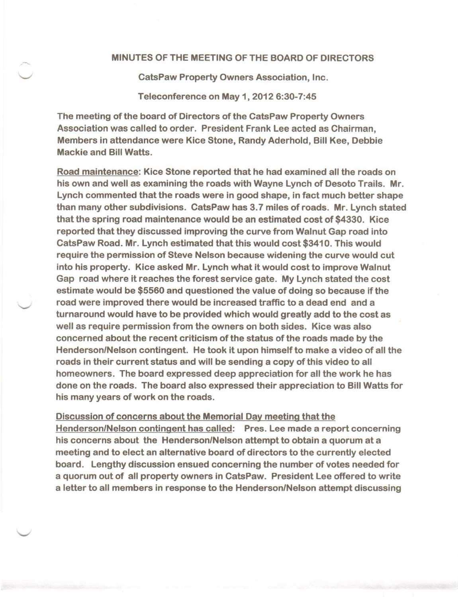## MINUTES OF THE MEETING OF THE BOARD OF DIRECTORS

CatsPaw Property Owners Association, Inc.

Teleconference on May 1, 2012 6:30-7:45

The meeting of the board of Directors of the CatsPaw Property Owners Association was called to order. President Frank Lee acted as Chairman, Members in attendance were Kice Stone, Randy Aderhold, Bill Kee, Debbie Mackie and Bill Watts.

Road maintenance: Kice Stone reported that he had examined all the roads on his own and well as examining the roads with Wayne Lynch of Desoto Trails. Mr. Lynch commented that the roads were in good shape, in fact much better shape than many other subdivisions. CatsPaw has 3.7 miles of roads. Mr. Lynch stated that the spring road maintenance would be an estimated cost of \$4330. Kice reported that they discussed improving the curve from Walnut Gap road into CatsPaw Road. Mr. Lynch estimated that this would cost \$3410. This would require the permission of Steve Nelson because widening the curve would cut into his property. Kice asked Mr. Lynch what it would cost to improve Walnut Gap road where it reaches the forest service gate. My Lynch stated the cost estimate would be \$5560 and questioned the value of doing so because if the road were improved there would be increased traffic to a dead end and a turnaround would have to be provided which would greatly add to the cost as well as require permission from the owners on both sides. Kice was also concerned about the recent criticism of the status of the roads made by the Henderson/Nelson contingent. He took it upon himself to make a video of all the roads in their current status and will be sending a copy of this video to all homeowners. The board expressed deep appreciation for all the work he has done on the roads. The board also expressed their appreciation to Bill Watts for his many years of work on the roads.

Discussion of concerns about the Memorial Day meeting that the Henderson/Nelson contingent has called: Pres. Lee made a report concerning his concerns about the Henderson/Nelson attempt to obtain a quorum at a meeting and to elect an alternative board of directors to the currently elected board. Lengthy discussion ensued concerning the number of votes needed for a quorum out of all property owners in CatsPaw. President Lee offered to write a letter to all members in response to the Henderson/Nelson attempt discussing